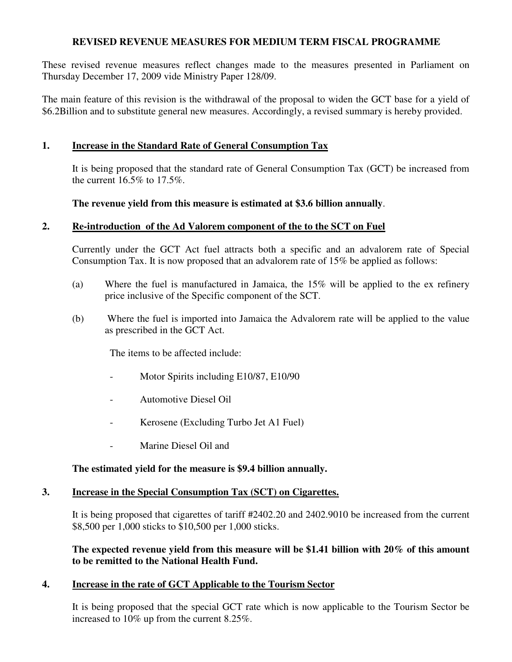### **REVISED REVENUE MEASURES FOR MEDIUM TERM FISCAL PROGRAMME**

These revised revenue measures reflect changes made to the measures presented in Parliament on Thursday December 17, 2009 vide Ministry Paper 128/09.

The main feature of this revision is the withdrawal of the proposal to widen the GCT base for a yield of \$6.2Billion and to substitute general new measures. Accordingly, a revised summary is hereby provided.

### **1. Increase in the Standard Rate of General Consumption Tax**

It is being proposed that the standard rate of General Consumption Tax (GCT) be increased from the current 16.5% to 17.5%.

### **The revenue yield from this measure is estimated at \$3.6 billion annually**.

### **2. Re-introduction of the Ad Valorem component of the to the SCT on Fuel**

Currently under the GCT Act fuel attracts both a specific and an advalorem rate of Special Consumption Tax. It is now proposed that an advalorem rate of 15% be applied as follows:

- (a) Where the fuel is manufactured in Jamaica, the 15% will be applied to the ex refinery price inclusive of the Specific component of the SCT.
- (b) Where the fuel is imported into Jamaica the Advalorem rate will be applied to the value as prescribed in the GCT Act.

The items to be affected include:

- Motor Spirits including E10/87, E10/90
- Automotive Diesel Oil
- Kerosene (Excluding Turbo Jet A1 Fuel)
- Marine Diesel Oil and

# **The estimated yield for the measure is \$9.4 billion annually.**

#### **3. Increase in the Special Consumption Tax (SCT) on Cigarettes.**

It is being proposed that cigarettes of tariff #2402.20 and 2402.9010 be increased from the current \$8,500 per 1,000 sticks to \$10,500 per 1,000 sticks.

### **The expected revenue yield from this measure will be \$1.41 billion with 20% of this amount to be remitted to the National Health Fund.**

# **4. Increase in the rate of GCT Applicable to the Tourism Sector**

It is being proposed that the special GCT rate which is now applicable to the Tourism Sector be increased to 10% up from the current 8.25%.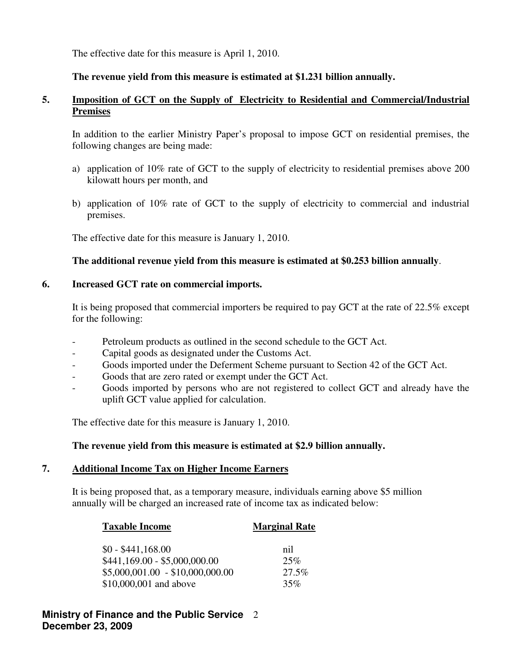The effective date for this measure is April 1, 2010.

# **The revenue yield from this measure is estimated at \$1.231 billion annually.**

# **5. Imposition of GCT on the Supply of Electricity to Residential and Commercial/Industrial Premises**

In addition to the earlier Ministry Paper's proposal to impose GCT on residential premises, the following changes are being made:

- a) application of 10% rate of GCT to the supply of electricity to residential premises above 200 kilowatt hours per month, and
- b) application of 10% rate of GCT to the supply of electricity to commercial and industrial premises.

The effective date for this measure is January 1, 2010.

# **The additional revenue yield from this measure is estimated at \$0.253 billion annually**.

# **6. Increased GCT rate on commercial imports.**

It is being proposed that commercial importers be required to pay GCT at the rate of 22.5% except for the following:

- Petroleum products as outlined in the second schedule to the GCT Act.
- Capital goods as designated under the Customs Act.
- Goods imported under the Deferment Scheme pursuant to Section 42 of the GCT Act.
- Goods that are zero rated or exempt under the GCT Act.
- Goods imported by persons who are not registered to collect GCT and already have the uplift GCT value applied for calculation.

The effective date for this measure is January 1, 2010.

# **The revenue yield from this measure is estimated at \$2.9 billion annually.**

# **7. Additional Income Tax on Higher Income Earners**

It is being proposed that, as a temporary measure, individuals earning above \$5 million annually will be charged an increased rate of income tax as indicated below:

| <b>Taxable Income</b>            | <b>Marginal Rate</b> |  |  |
|----------------------------------|----------------------|--|--|
| $$0 - $441,168.00$               | nil                  |  |  |
| $$441,169.00 - $5,000,000.00$    | 25%                  |  |  |
| $$5,000,001.00 - $10,000,000.00$ | 27.5%                |  |  |
| \$10,000,001 and above           | 35%                  |  |  |

# **Ministry of Finance and the Public Service**  2 **December 23, 2009**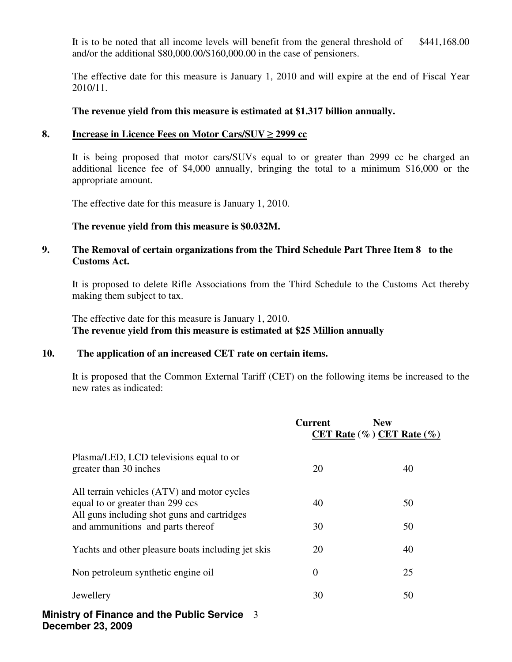It is to be noted that all income levels will benefit from the general threshold of \$441,168.00 and/or the additional \$80,000.00/\$160,000.00 in the case of pensioners.

The effective date for this measure is January 1, 2010 and will expire at the end of Fiscal Year 2010/11.

#### **The revenue yield from this measure is estimated at \$1.317 billion annually.**

#### **8. Increase in Licence Fees on Motor Cars/SUV** ≥ **2999 cc**

It is being proposed that motor cars/SUVs equal to or greater than 2999 cc be charged an additional licence fee of \$4,000 annually, bringing the total to a minimum \$16,000 or the appropriate amount.

The effective date for this measure is January 1, 2010.

#### **The revenue yield from this measure is \$0.032M.**

### **9. The Removal of certain organizations from the Third Schedule Part Three Item 8 to the Customs Act.**

It is proposed to delete Rifle Associations from the Third Schedule to the Customs Act thereby making them subject to tax.

 The effective date for this measure is January 1, 2010.  **The revenue yield from this measure is estimated at \$25 Million annually** 

#### **10. The application of an increased CET rate on certain items.**

It is proposed that the Common External Tariff (CET) on the following items be increased to the new rates as indicated:

|                                                                                  |   | Current        | <b>New</b><br>CET Rate $(\%)$ CET Rate $(\%)$ |
|----------------------------------------------------------------------------------|---|----------------|-----------------------------------------------|
| Plasma/LED, LCD televisions equal to or<br>greater than 30 inches                |   | 20             | 40                                            |
| All terrain vehicles (ATV) and motor cycles                                      |   |                |                                               |
| equal to or greater than 299 ccs                                                 |   | 40             | 50                                            |
| All guns including shot guns and cartridges<br>and ammunitions and parts thereof |   | 30             | 50                                            |
| Yachts and other pleasure boats including jet skis                               |   | 20             | 40                                            |
| Non petroleum synthetic engine oil                                               |   | $\overline{0}$ | 25                                            |
| Jewellery                                                                        |   | 30             | 50                                            |
| <b>Ministry of Finance and the Public Service</b>                                | 3 |                |                                               |

**December 23, 2009**